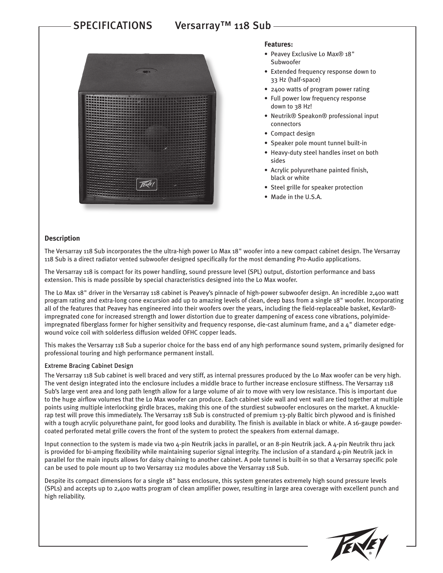# SPECIFICATIONS Versarray™ 118 Sub



### **Features:**

- Peavey Exclusive Lo Max® 18" Subwoofer
- Extended frequency response down to 33 Hz (half-space)
- 2400 watts of program power rating
- Full power low frequency response down to 38 Hz!
- Neutrik® Speakon® professional input connectors
- Compact design
- Speaker pole mount tunnel built-in
- Heavy-duty steel handles inset on both sides
- Acrylic polyurethane painted finish, black or white
- Steel grille for speaker protection
- Made in the U.S.A.

#### **Description**

The Versarray 118 Sub incorporates the the ultra-high power Lo Max 18" woofer into a new compact cabinet design. The Versarray 118 Sub is a direct radiator vented subwoofer designed specifically for the most demanding Pro-Audio applications.

The Versarray 118 is compact for its power handling, sound pressure level (SPL) output, distortion performance and bass extension. This is made possible by special characteristics designed into the Lo Max woofer.

The Lo Max 18" driver in the Versarray 118 cabinet is Peavey's pinnacle of high-power subwoofer design. An incredible 2,400 watt program rating and extra-long cone excursion add up to amazing levels of clean, deep bass from a single 18" woofer. Incorporating all of the features that Peavey has engineered into their woofers over the years, including the field-replaceable basket, Kevlar® impregnated cone for increased strength and lower distortion due to greater dampening of excess cone vibrations, polyimideimpregnated fiberglass former for higher sensitivity and frequency response, die-cast aluminum frame, and a 4" diameter edgewound voice coil with solderless diffusion welded OFHC copper leads.

This makes the Versarray 118 Sub a superior choice for the bass end of any high performance sound system, primarily designed for professional touring and high performance permanent install.

#### Extreme Bracing Cabinet Design

The Versarray 118 Sub cabinet is well braced and very stiff, as internal pressures produced by the Lo Max woofer can be very high. The vent design integrated into the enclosure includes a middle brace to further increase enclosure stiffness. The Versarray 118 Sub's large vent area and long path length allow for a large volume of air to move with very low resistance. This is important due to the huge airflow volumes that the Lo Max woofer can produce. Each cabinet side wall and vent wall are tied together at multiple points using multiple interlocking girdle braces, making this one of the sturdiest subwoofer enclosures on the market. A knucklerap test will prove this immediately. The Versarray 118 Sub is constructed of premium 13-ply Baltic birch plywood and is finished with a tough acrylic polyurethane paint, for good looks and durability. The finish is available in black or white. A 16-gauge powdercoated perforated metal grille covers the front of the system to protect the speakers from external damage.

Input connection to the system is made via two 4-pin Neutrik jacks in parallel, or an 8-pin Neutrik jack. A 4-pin Neutrik thru jack is provided for bi-amping flexibility while maintaining superior signal integrity. The inclusion of a standard 4-pin Neutrik jack in parallel for the main inputs allows for daisy chaining to another cabinet. A pole tunnel is built-in so that a Versarray specific pole can be used to pole mount up to two Versarray 112 modules above the Versarray 118 Sub.

Despite its compact dimensions for a single 18" bass enclosure, this system generates extremely high sound pressure levels (SPLs) and accepts up to 2,400 watts program of clean amplifier power, resulting in large area coverage with excellent punch and high reliability.

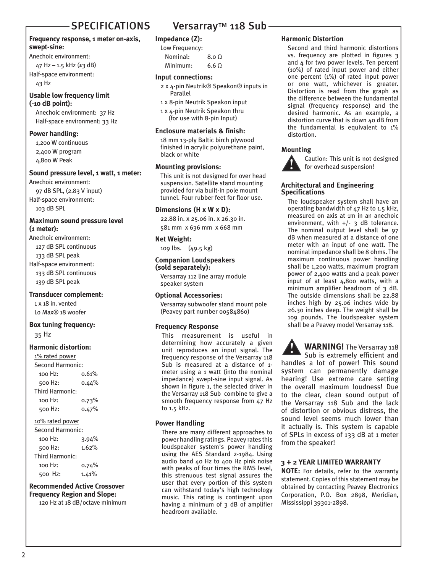### **Frequency response, 1 meter on-axis, swept-sine:**

Anechoic environment:

47 Hz – 1.5 kHz ( $\pm$ 3 dB) Half-space environment:

43 Hz

#### **Usable low frequency limit (-10 dB point):**

Anechoic environment: 37 Hz Half-space environment: 33 Hz

# **Power handling:**

1,200 W continuous 2,400 W program 4,800 W Peak

#### **Sound pressure level, 1 watt, 1 meter:**

Anechoic environment: 97 dB SPL, (2.83 V input) Half-space environment: 103 dB SPL

### **Maximum sound pressure level (1 meter):**

Anechoic environment: 127 dB SPL continuous 133 dB SPL peak Half-space environment: 133 dB SPL continuous 139 dB SPL peak

#### **Transducer complement:**

1 x 18 in. vented Lo Max® 18 woofer

# **Box tuning frequency:**

35 Hz

# **Harmonic distortion:**

1% rated power Second Harmonic:

| <u>JELUHU HAHHUHIL.</u> |       |
|-------------------------|-------|
| 100 Hz:                 | 0.61% |
| 500 Hz:                 | 0.44% |
| Third Harmonic:         |       |
| 100 Hz:                 | 0.73% |
| 500 Hz:                 | 0.47% |
| $100$ ratad nower       |       |

#### 10% rated power

| <b>Second Harmonic:</b> |       |
|-------------------------|-------|
| 100 Hz:                 | 3.94% |
| 500 Hz:                 | 1.62% |
| Third Harmonic:         |       |
| 100 Hz:                 | 0.74% |
| 500 Hz:                 | 1.41% |

# **Recommended Active Crossover Frequency Region and Slope:**

120 Hz at 18 dB/octave minimum

# SPECIFICATIONS Versarray™ 118 Sub-

# **Impedance (Z):**

| Low Frequency: |                  |
|----------------|------------------|
| Nominal:       | 8.0 <sub>0</sub> |
| Minimum:       | 6.6 $\Omega$     |

#### **Input connections:**

- 2 x 4-pin Neutrik® Speakon® inputs in Parallel
- 1 x 8-pin Neutrik Speakon input
- 1 x 4-pin Neutrik Speakon thru (for use with 8-pin Input)

# **Enclosure materials & finish:**

18 mm 13-ply Baltic birch plywood finished in acrylic polyurethane paint, black or white

#### **Mounting provisions:**

This unit is not designed for over head suspension. Satellite stand mounting provided for via built-in pole mount tunnel. Four rubber feet for floor use.

#### **Dimensions (H x W x D):**

22.88 in. x 25.06 in. x 26.30 in. 581 mm x 636 mm x 668 mm

# **Net Weight:**

109 lbs. (49.5 kg)

### **Companion Loudspeakers (sold separately):**

Versarray 112 line array module speaker system

# **Optional Accessories:**

Versarray subwoofer stand mount pole (Peavey part number 00584860)

# **Frequency Response**

This measurement is useful in determining how accurately a given unit reproduces an input signal. The frequency response of the Versarray 118 Sub is measured at a distance of 1 meter using a 1 watt (into the nominal impedance) swept-sine input signal. As shown in figure 1, the selected driver in the Versarray 118 Sub combine to give a smooth frequency response from 47 Hz to 1.5 kHz.

# **Power Handling**

There are many different approaches to power handling ratings. Peavey rates this loudspeaker system's power handling using the AES Standard 2-1984. Using audio band 40 Hz to 400 Hz pink noise with peaks of four times the RMS level, this strenuous test signal assures the user that every portion of this system can withstand today's high technology music. This rating is contingent upon having a minimum of 3 dB of amplifier headroom available.

# **Harmonic Distortion**

Second and third harmonic distortions vs. frequency are plotted in figures 3 and 4 for two power levels. Ten percent (10%) of rated input power and either one percent (1%) of rated input power or one watt, whichever is greater. Distortion is read from the graph as the difference between the fundamental signal (frequency response) and the desired harmonic. As an example, a distortion curve that is down 40 dB from the fundamental is equivalent to 1% distortion.

### **Mounting**



Caution: This unit is not designed for overhead suspension!

### **Architectural and Engineering Specifications**

The loudspeaker system shall have an operating bandwidth of 47 Hz to 1.5 kHz, measured on axis at 1m in an anechoic environment, with  $+/-$  3 dB tolerance. The nominal output level shall be 97 dB when measured at a distance of one meter with an input of one watt. The nominal impedance shall be 8 ohms. The maximum continuous power handling shall be 1,200 watts, maximum program power of 2,400 watts and a peak power input of at least 4,800 watts, with a minimum amplifier headroom of 3 dB. The outside dimensions shall be 22.88 inches high by 25.06 inches wide by 26.30 inches deep. The weight shall be 109 pounds. The loudspeaker system shall be a Peavey model Versarray 118.

**WARNING!** The Versarray 118 Sub is extremely efficient and handles a lot of power! This sound system can permanently damage hearing! Use extreme care setting the overall maximum loudness! Due to the clear, clean sound output of the Versarray 118 Sub and the lack of distortion or obvious distress, the sound level seems much lower than it actually is. This system is capable of SPLs in excess of 133 dB at 1 meter from the speaker!

# **3 + 2 YEAR LIMITED WARRANTY**

**NOTE:** For details, refer to the warranty statement. Copies of this statement may be obtained by contacting Peavey Electronics Corporation, P.O. Box 2898, Meridian, Mississippi 39301-2898.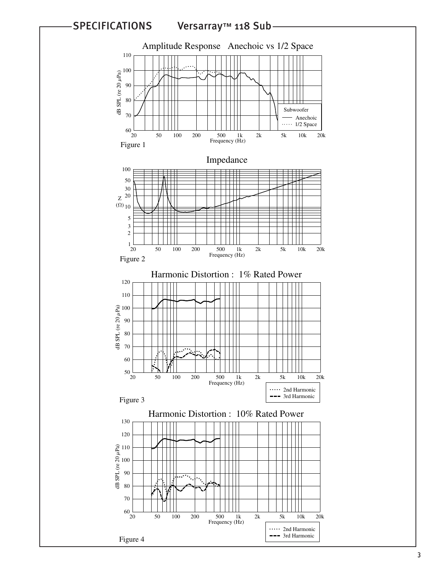

SPECIFICATIONS Versarray™ 118 Sub

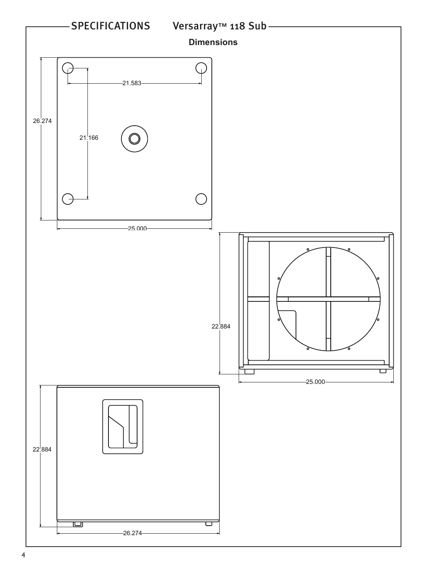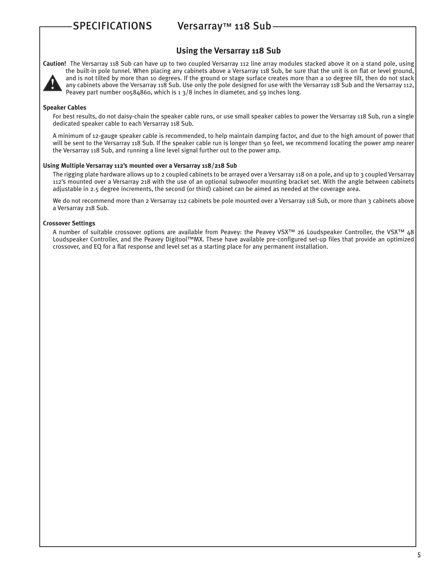# SPECIFICATIONS Versarray™ 118 Sub

# **Using the Versarray 118 Sub**



**Caution!** The Versarray 118 Sub can have up to two coupled Versarray 112 line array modules stacked above it on a stand pole, using the built-in pole tunnel. When placing any cabinets above a Versarray 118 Sub, be sure that the unit is on flat or level ground, and is not tilted by more than 10 degrees. If the ground or stage surface creates more than a 10 degree tilt, then do not stack any cabinets above the Versarray 118 Sub. Use only the pole designed for use with the Versarray 118 Sub and the Versarray 112, Peavey part number 00584860, which is 1 3/8 inches in diameter, and 59 inches long.

#### **Speaker Cables**

For best results, do not daisy-chain the speaker cable runs, or use small speaker cables to power the Versarray 118 Sub, run a single dedicated speaker cable to each Versarray 118 Sub.

A minimum of 12-gauge speaker cable is recommended, to help maintain damping factor, and due to the high amount of power that will be sent to the Versarray 118 Sub. If the speaker cable run is longer than 50 feet, we recommend locating the power amp nearer the Versarray 118 Sub, and running a line level signal further out to the power amp.

#### **Using Multiple Versarray 112's mounted over a Versarray 118/218 Sub**

The rigging plate hardware allows up to 2 coupled cabinets to be arrayed over a Versarray 118 on a pole, and up to 3 coupled Versarray 112's mounted over a Versarray 218 with the use of an optional subwoofer mounting bracket set. With the angle between cabinets adjustable in 2.5 degree increments, the second (or third) cabinet can be aimed as needed at the coverage area.

We do not recommend more than 2 Versarray 112 cabinets be pole mounted over a Versarray 118 Sub, or more than 3 cabinets above a Versarray 218 Sub.

#### **Crossover Settings**

A number of suitable crossover options are available from Peavey: the Peavey VSX™ 26 Loudspeaker Controller, the VSX™ 48 Loudspeaker Controller, and the Peavey Digitool™MX. These have available pre-configured set-up files that provide an optimized crossover, and EQ for a flat response and level set as a starting place for any permanent installation.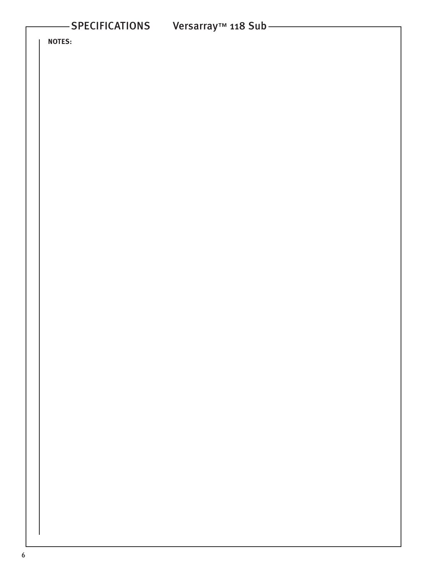**NOTES:**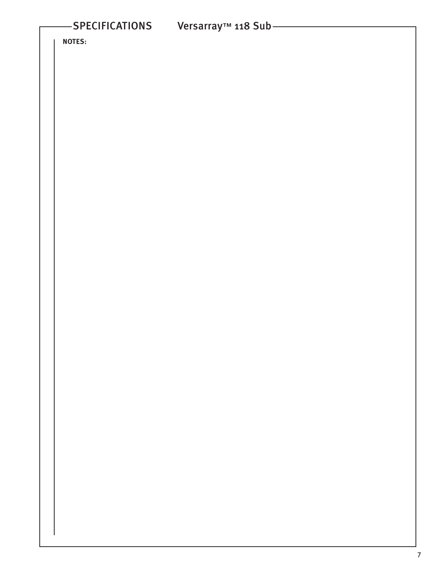**NOTES:**